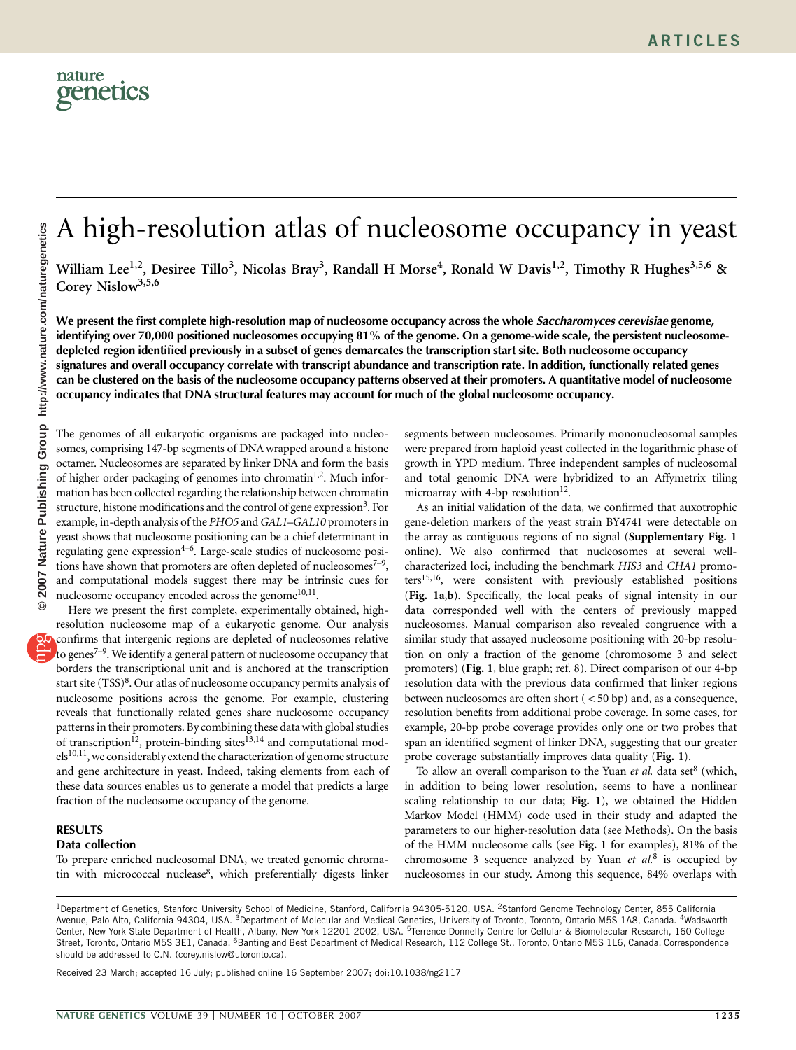# A high-resolution atlas of nucleosome occupancy in yeast

William Lee<sup>1,2</sup>, Desiree Tillo<sup>3</sup>, Nicolas Bray<sup>3</sup>, Randall H Morse<sup>4</sup>, Ronald W Davis<sup>1,2</sup>, Timothy R Hughes<sup>3,5,6</sup> & Corey Nislow<sup>3,5,6</sup>

We present the first complete high-resolution map of nucleosome occupancy across the whole Saccharomyces cerevisiae genome, identifying over 70,000 positioned nucleosomes occupying 81% of the genome. On a genome-wide scale, the persistent nucleosomedepleted region identified previously in a subset of genes demarcates the transcription start site. Both nucleosome occupancy signatures and overall occupancy correlate with transcript abundance and transcription rate. In addition, functionally related genes can be clustered on the basis of the nucleosome occupancy patterns observed at their promoters. A quantitative model of nucleosome occupancy indicates that DNA structural features may account for much of the global nucleosome occupancy.

The genomes of all eukaryotic organisms are packaged into nucleosomes, comprising 147-bp segments of DNA wrapped around a histone octamer. Nucleosomes are separated by linker DNA and form the basis of higher order packaging of genomes into chromatin<sup>[1,2](#page-8-0)</sup>. Much information has been collected regarding the relationship between chromatin structure, histone modifications and the control of gene expression<sup>[3](#page-8-0)</sup>. For example, in-depth analysis of the PHO5 and GAL1–GAL10 promoters in yeast shows that nucleosome positioning can be a chief determinant in regulating gene  $\exp$ ression<sup>4-6</sup>. Large-scale studies of nucleosome positions have shown that promoters are often depleted of nucleosomes<sup>7-9</sup>, and computational models suggest there may be intrinsic cues for nucleosome occupancy encoded across the genome<sup>10,11</sup>.

Here we present the first complete, experimentally obtained, highresolution nucleosome map of a eukaryotic genome. Our analysis confirms that intergenic regions are depleted of nucleosomes relative to genes<sup> $7-9$ </sup>. We identify a general pattern of nucleosome occupancy that borders the transcriptional unit and is anchored at the transcription start site (TSS)<sup>8</sup>. Our atlas of nucleosome occupancy permits analysis of nucleosome positions across the genome. For example, clustering reveals that functionally related genes share nucleosome occupancy patterns in their promoters. By combining these data with global studies of transcription<sup>12</sup>, protein-binding sites<sup>[13,14](#page-8-0)</sup> and computational mod $e$ ls<sup>10,11</sup>, we considerably extend the characterization of genome structure and gene architecture in yeast. Indeed, taking elements from each of these data sources enables us to generate a model that predicts a large fraction of the nucleosome occupancy of the genome.

### RESULTS Data collection

To prepare enriched nucleosomal DNA, we treated genomic chromatin with micrococcal nuclease<sup>8</sup>, which preferentially digests linker segments between nucleosomes. Primarily mononucleosomal samples were prepared from haploid yeast collected in the logarithmic phase of growth in YPD medium. Three independent samples of nucleosomal and total genomic DNA were hybridized to an Affymetrix tiling microarray with 4-bp resolution $12$ .

As an initial validation of the data, we confirmed that auxotrophic gene-deletion markers of the yeast strain BY4741 were detectable on the array as contiguous regions of no signal (Supplementary Fig. 1 online). We also confirmed that nucleosomes at several wellcharacterized loci, including the benchmark HIS3 and CHA1 promoter[s15,16,](#page-8-0) were consistent with previously established positions ([Fig. 1a](#page-1-0),b). Specifically, the local peaks of signal intensity in our data corresponded well with the centers of previously mapped nucleosomes. Manual comparison also revealed congruence with a similar study that assayed nucleosome positioning with 20-bp resolution on only a fraction of the genome (chromosome 3 and select promoters) ([Fig. 1](#page-1-0), blue graph; ref. 8). Direct comparison of our 4-bp resolution data with the previous data confirmed that linker regions between nucleosomes are often short  $(<50 bp)$  and, as a consequence, resolution benefits from additional probe coverage. In some cases, for example, 20-bp probe coverage provides only one or two probes that span an identified segment of linker DNA, suggesting that our greater probe coverage substantially improves data quality ([Fig. 1](#page-1-0)).

To allow an overall comparison to the Yuan et al. data set $8$  (which, in addition to being lower resolution, seems to have a nonlinear scaling relationship to our data; [Fig. 1](#page-1-0)), we obtained the Hidden Markov Model (HMM) code used in their study and adapted the parameters to our higher-resolution data (see Methods). On the basis of the HMM nucleosome calls (see [Fig. 1](#page-1-0) for examples), 81% of the chromosome 3 sequence analyzed by Yuan et  $al$ <sup>[8](#page-8-0)</sup> is occupied by nucleosomes in our study. Among this sequence, 84% overlaps with

Received 23 March; accepted 16 July; published online 16 September 2007; [doi:10.1038/ng2117](http://www.nature.com/doifinder/10.1038/ng2117)

<sup>&</sup>lt;sup>1</sup>Department of Genetics, Stanford University School of Medicine, Stanford, California 94305-5120, USA. <sup>2</sup>Stanford Genome Technology Center, 855 California Avenue, Palo Alto, California 94304, USA. <sup>3</sup>Department of Molecular and Medical Genetics, University of Toronto, Toronto, Ontario M5S 1A8, Canada. <sup>4</sup>Wadsworth Center, New York State Department of Health, Albany, New York 12201-2002, USA. <sup>5</sup>Terrence Donnelly Centre for Cellular & Biomolecular Research, 160 College Street, Toronto, Ontario M5S 3E1, Canada. <sup>6</sup>Banting and Best Department of Medical Research, 112 College St., Toronto, Ontario M5S 1L6, Canada. Correspondence should be addressed to C.N. [\(corey.nislow@utoronto.ca\)](mailto:corey.nislow@utoronto.ca).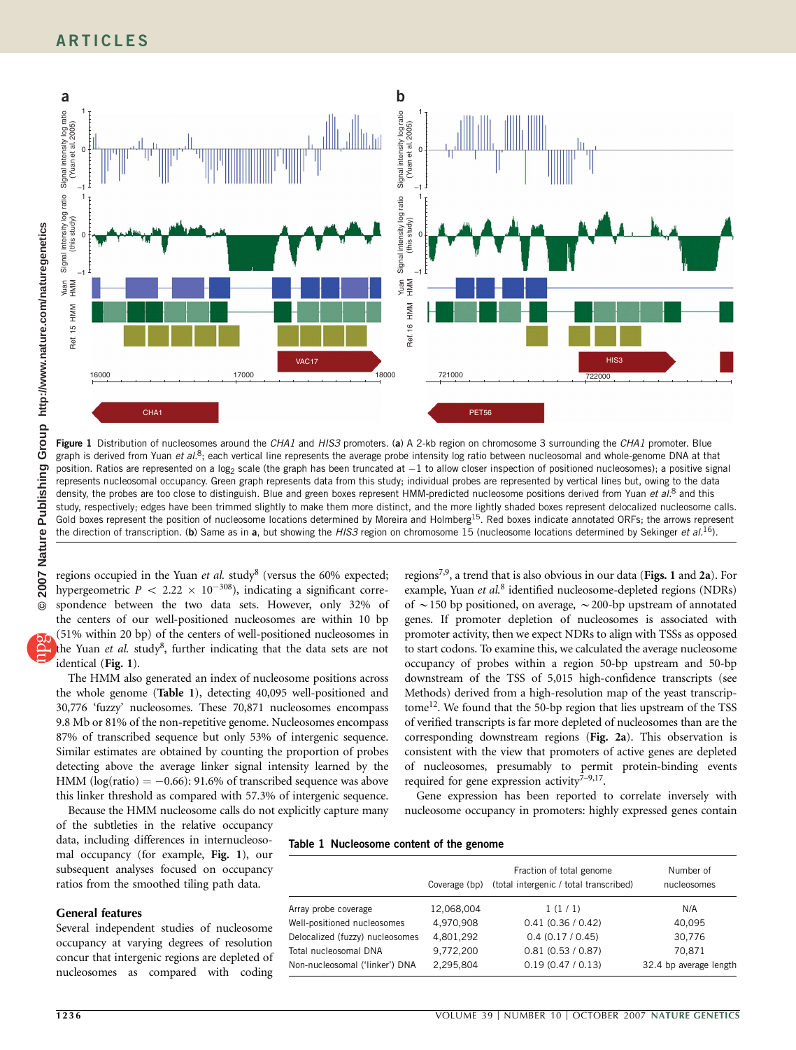<span id="page-1-0"></span>

Figure 1 Distribution of nucleosomes around the CHA1 and HIS3 promoters. (a) A 2-kb region on chromosome 3 surrounding the CHA1 promoter. Blue graph is derived from Yuan et al.<sup>8</sup>; each vertical line represents the average probe intensity log ratio between nucleosomal and whole-genome DNA at that position. Ratios are represented on a log<sub>2</sub> scale (the graph has been truncated at  $-1$  to allow closer inspection of positioned nucleosomes); a positive signal represents nucleosomal occupancy. Green graph represents data from this study; individual probes are represented by vertical lines but, owing to the data density, the probes are too close to distinguish. Blue and green boxes represent HMM-predicted nucleosome positions derived from Yuan et al.<sup>[8](#page-8-0)</sup> and this study, respectively; edges have been trimmed slightly to make them more distinct, and the more lightly shaded boxes represent delocalized nucleosome calls. Gold boxes represent the position of nucleosome locations determined by Moreira and Holmberg<sup>15</sup>. Red boxes indicate annotated ORFs; the arrows represent the direction of transcription. (b) Same as in a, but showing the HIS3 region on chromosome 15 (nucleosome locations determined by Sekinger et al.<sup>[16](#page-8-0)</sup>).

regions occupied in the Yuan et al. study<sup>[8](#page-8-0)</sup> (versus the 60% expected; hypergeometric  $P < 2.22 \times 10^{-308}$ ), indicating a significant correspondence between the two data sets. However, only 32% of the centers of our well-positioned nucleosomes are within 10 bp (51% within 20 bp) of the centers of well-positioned nucleosomes in the Yuan *et al.* study<sup>8</sup>, further indicating that the data sets are not identical (Fig. 1).

The HMM also generated an index of nucleosome positions across the whole genome (Table 1), detecting 40,095 well-positioned and 30,776 'fuzzy' nucleosomes. These 70,871 nucleosomes encompass 9.8 Mb or 81% of the non-repetitive genome. Nucleosomes encompass 87% of transcribed sequence but only 53% of intergenic sequence. Similar estimates are obtained by counting the proportion of probes detecting above the average linker signal intensity learned by the HMM  $(log(ratio) = -0.66)$ : 91.6% of transcribed sequence was above this linker threshold as compared with 57.3% of intergenic sequence. Because the HMM nucleosome calls do not explicitly capture many

region[s7,9](#page-8-0), a trend that is also obvious in our data (Figs. 1 and 2a). For example, Yuan et al.<sup>[8](#page-8-0)</sup> identified nucleosome-depleted regions (NDRs) of  $\sim$  150 bp positioned, on average,  $\sim$  200-bp upstream of annotated genes. If promoter depletion of nucleosomes is associated with promoter activity, then we expect NDRs to align with TSSs as opposed to start codons. To examine this, we calculated the average nucleosome occupancy of probes within a region 50-bp upstream and 50-bp downstream of the TSS of 5,015 high-confidence transcripts (see Methods) derived from a high-resolution map of the yeast transcriptome<sup>12</sup>. We found that the 50-bp region that lies upstream of the TSS of verified transcripts is far more depleted of nucleosomes than are the corresponding downstream regions ([Fig. 2a](#page-2-0)). This observation is consistent with the view that promoters of active genes are depleted of nucleosomes, presumably to permit protein-binding events required for gene expression activity<sup>[7–9,17](#page-8-0)</sup>.

Gene expression has been reported to correlate inversely with nucleosome occupancy in promoters: highly expressed genes contain

of the subtleties in the relative occupancy data, including differences in internucleosomal occupancy (for example, Fig. 1), our subsequent analyses focused on occupancy ratios from the smoothed tiling path data.

#### General features

Several independent studies of nucleosome occupancy at varying degrees of resolution concur that intergenic regions are depleted of nucleosomes as compared with coding

### Table 1 Nucleosome content of the genome

|                                 | Coverage (bp) | Fraction of total genome<br>(total intergenic / total transcribed) | Number of<br>nucleosomes |
|---------------------------------|---------------|--------------------------------------------------------------------|--------------------------|
| Array probe coverage            | 12,068,004    | 1(1/1)                                                             | N/A                      |
| Well-positioned nucleosomes     | 4,970,908     | 0.41(0.36/0.42)                                                    | 40,095                   |
| Delocalized (fuzzy) nucleosomes | 4,801,292     | 0.4(0.17/0.45)                                                     | 30,776                   |
| Total nucleosomal DNA           | 9.772.200     | 0.81(0.53/0.87)                                                    | 70.871                   |
| Non-nucleosomal ('linker') DNA  | 2.295.804     | 0.19(0.47/0.13)                                                    | 32.4 bp average length   |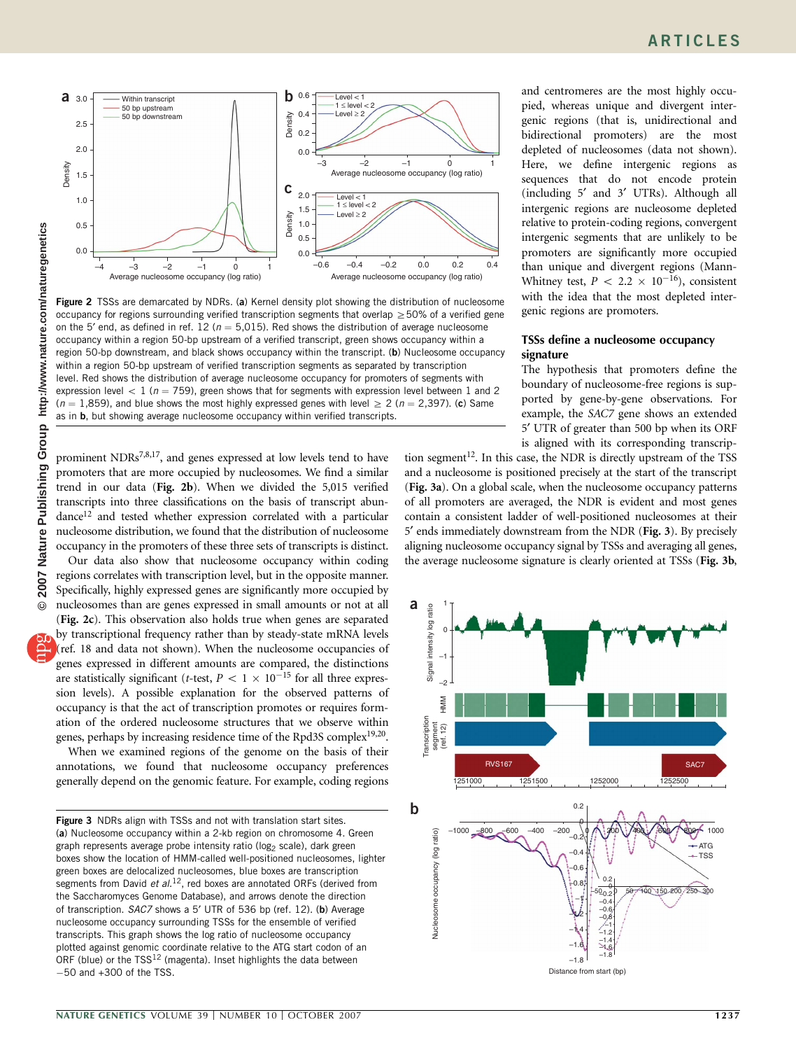<span id="page-2-0"></span>

Figure 2 TSSs are demarcated by NDRs. (a) Kernel density plot showing the distribution of nucleosome occupancy for regions surrounding verified transcription segments that overlap  $\geq$  50% of a verified gene on the 5' end, as defined in ref. 12 ( $n = 5,015$ ). Red shows the distribution of average nucleosome occupancy within a region 50-bp upstream of a verified transcript, green shows occupancy within a region 50-bp downstream, and black shows occupancy within the transcript. (b) Nucleosome occupancy within a region 50-bp upstream of verified transcription segments as separated by transcription level. Red shows the distribution of average nucleosome occupancy for promoters of segments with expression level  $< 1$  ( $n = 759$ ), green shows that for segments with expression level between 1 and 2  $(n = 1,859)$ , and blue shows the most highly expressed genes with level  $\geq 2$  (n = 2,397). (c) Same as in b, but showing average nucleosome occupancy within verified transcripts.

prominent  $NDRs^{7,8,17}$  $NDRs^{7,8,17}$  $NDRs^{7,8,17}$ , and genes expressed at low levels tend to have promoters that are more occupied by nucleosomes. We find a similar trend in our data (Fig. 2b). When we divided the 5,015 verified transcripts into three classifications on the basis of transcript abundance<sup>12</sup> and tested whether expression correlated with a particular nucleosome distribution, we found that the distribution of nucleosome occupancy in the promoters of these three sets of transcripts is distinct.

Our data also show that nucleosome occupancy within coding regions correlates with transcription level, but in the opposite manner. Specifically, highly expressed genes are significantly more occupied by nucleosomes than are genes expressed in small amounts or not at all

(Fig. 2c). This observation also holds true when genes are separated by transcriptional frequency rather than by steady-state mRNA levels (ref. 18 and data not shown). When the nucleosome occupancies of genes expressed in different amounts are compared, the distinctions are statistically significant (*t*-test,  $P < 1 \times 10^{-15}$  for all three expression levels). A possible explanation for the observed patterns of occupancy is that the act of transcription promotes or requires formation of the ordered nucleosome structures that we observe within genes, perhaps by increasing residence time of the Rpd3S complex<sup>19,20</sup>.

When we examined regions of the genome on the basis of their annotations, we found that nucleosome occupancy preferences generally depend on the genomic feature. For example, coding regions

Figure 3 NDRs align with TSSs and not with translation start sites. (a) Nucleosome occupancy within a 2-kb region on chromosome 4. Green graph represents average probe intensity ratio (log<sub>2</sub> scale), dark green boxes show the location of HMM-called well-positioned nucleosomes, lighter green boxes are delocalized nucleosomes, blue boxes are transcription segments from David et  $aL^{12}$  $aL^{12}$  $aL^{12}$ , red boxes are annotated ORFs (derived from the Saccharomyces Genome Database), and arrows denote the direction of transcription. SAC7 shows a 5' UTR of 536 bp (ref. 12). (b) Average nucleosome occupancy surrounding TSSs for the ensemble of verified transcripts. This graph shows the log ratio of nucleosome occupancy plotted against genomic coordinate relative to the ATG start codon of an ORF (blue) or the  $TSS^{12}$  $TSS^{12}$  $TSS^{12}$  (magenta). Inset highlights the data between -50 and +300 of the TSS.

and centromeres are the most highly occupied, whereas unique and divergent intergenic regions (that is, unidirectional and bidirectional promoters) are the most depleted of nucleosomes (data not shown). Here, we define intergenic regions as sequences that do not encode protein (including 5¢ and 3¢ UTRs). Although all intergenic regions are nucleosome depleted relative to protein-coding regions, convergent intergenic segments that are unlikely to be promoters are significantly more occupied than unique and divergent regions (Mann-Whitney test,  $P < 2.2 \times 10^{-16}$ ), consistent with the idea that the most depleted intergenic regions are promoters.

### TSSs define a nucleosome occupancy signature

The hypothesis that promoters define the boundary of nucleosome-free regions is supported by gene-by-gene observations. For example, the SAC7 gene shows an extended 5¢ UTR of greater than 500 bp when its ORF is aligned with its corresponding transcrip-

tion segment<sup>12</sup>. In this case, the NDR is directly upstream of the TSS and a nucleosome is positioned precisely at the start of the transcript (Fig. 3a). On a global scale, when the nucleosome occupancy patterns of all promoters are averaged, the NDR is evident and most genes contain a consistent ladder of well-positioned nucleosomes at their 5' ends immediately downstream from the NDR (Fig. 3). By precisely aligning nucleosome occupancy signal by TSSs and averaging all genes, the average nucleosome signature is clearly oriented at TSSs (Fig. 3b,

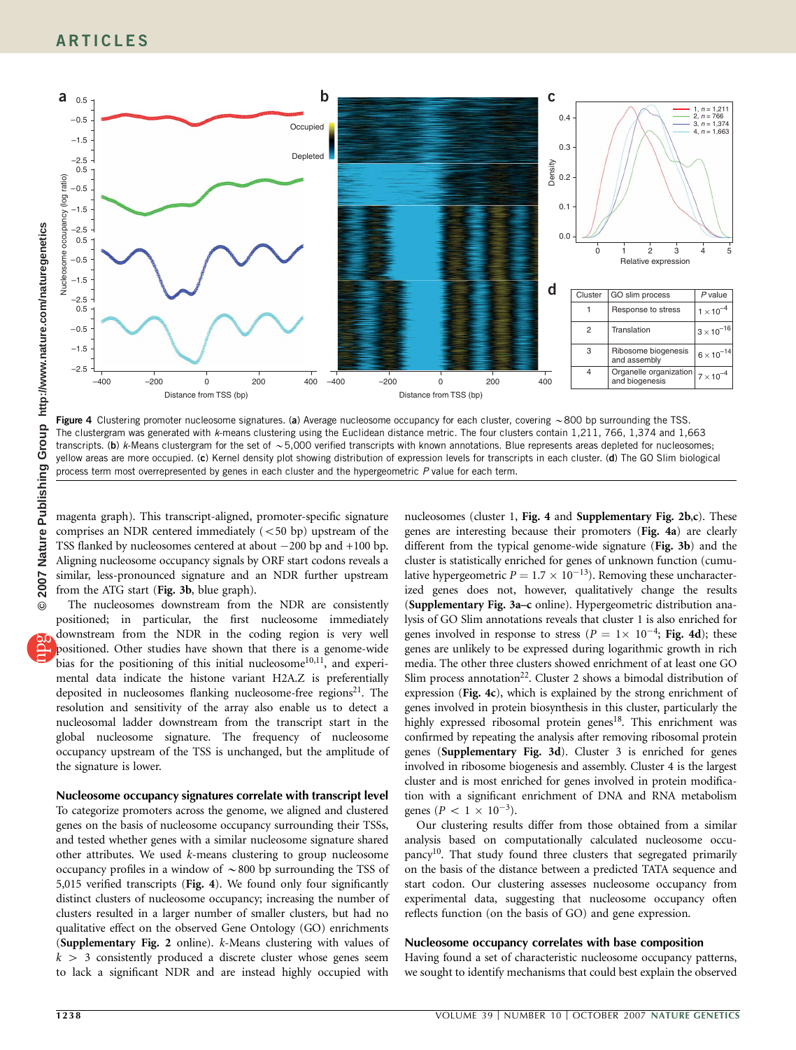<span id="page-3-0"></span>

Figure 4 Clustering promoter nucleosome signatures. (a) Average nucleosome occupancy for each cluster, covering  $\sim$ 800 bp surrounding the TSS. The clustergram was generated with k-means clustering using the Euclidean distance metric. The four clusters contain 1,211, 766, 1,374 and 1,663 transcripts. (b) k-Means clustergram for the set of  $\sim$  5,000 verified transcripts with known annotations. Blue represents areas depleted for nucleosomes; yellow areas are more occupied. (c) Kernel density plot showing distribution of expression levels for transcripts in each cluster. (d) The GO Slim biological process term most overrepresented by genes in each cluster and the hypergeometric P value for each term.

magenta graph). This transcript-aligned, promoter-specific signature comprises an NDR centered immediately  $(<50$  bp) upstream of the TSS flanked by nucleosomes centered at about  $-200$  bp and  $+100$  bp. Aligning nucleosome occupancy signals by ORF start codons reveals a similar, less-pronounced signature and an NDR further upstream from the ATG start ([Fig. 3b](#page-2-0), blue graph).

The nucleosomes downstream from the NDR are consistently positioned; in particular, the first nucleosome immediately downstream from the NDR in the coding region is very well positioned. Other studies have shown that there is a genome-wide bias for the positioning of this initial nucleosome<sup>10,11</sup>, and experimental data indicate the histone variant H2A.Z is preferentially deposited in nucleosomes flanking nucleosome-free regions<sup>21</sup>. The resolution and sensitivity of the array also enable us to detect a nucleosomal ladder downstream from the transcript start in the global nucleosome signature. The frequency of nucleosome occupancy upstream of the TSS is unchanged, but the amplitude of the signature is lower.

### Nucleosome occupancy signatures correlate with transcript level

To categorize promoters across the genome, we aligned and clustered genes on the basis of nucleosome occupancy surrounding their TSSs, and tested whether genes with a similar nucleosome signature shared other attributes. We used k-means clustering to group nucleosome occupancy profiles in a window of  $\sim 800$  bp surrounding the TSS of 5,015 verified transcripts (Fig. 4). We found only four significantly distinct clusters of nucleosome occupancy; increasing the number of clusters resulted in a larger number of smaller clusters, but had no qualitative effect on the observed Gene Ontology (GO) enrichments (Supplementary Fig. 2 online). k-Means clustering with values of  $k > 3$  consistently produced a discrete cluster whose genes seem to lack a significant NDR and are instead highly occupied with

nucleosomes (cluster 1, Fig. 4 and Supplementary Fig. 2b,c). These genes are interesting because their promoters (Fig. 4a) are clearly different from the typical genome-wide signature ([Fig. 3b](#page-2-0)) and the cluster is statistically enriched for genes of unknown function (cumulative hypergeometric  $P = 1.7 \times 10^{-13}$ ). Removing these uncharacterized genes does not, however, qualitatively change the results (Supplementary Fig. 3a–c online). Hypergeometric distribution analysis of GO Slim annotations reveals that cluster 1 is also enriched for genes involved in response to stress ( $P = 1 \times 10^{-4}$ ; Fig. 4d); these genes are unlikely to be expressed during logarithmic growth in rich media. The other three clusters showed enrichment of at least one GO Slim process annotation<sup>22</sup>. Cluster 2 shows a bimodal distribution of expression (Fig. 4c), which is explained by the strong enrichment of genes involved in protein biosynthesis in this cluster, particularly the highly expressed ribosomal protein genes<sup>18</sup>. This enrichment was confirmed by repeating the analysis after removing ribosomal protein genes (Supplementary Fig. 3d). Cluster 3 is enriched for genes involved in ribosome biogenesis and assembly. Cluster 4 is the largest cluster and is most enriched for genes involved in protein modification with a significant enrichment of DNA and RNA metabolism genes (*P* <  $1 \times 10^{-3}$ ).

Our clustering results differ from those obtained from a similar analysis based on computationally calculated nucleosome occu-pancy<sup>[10](#page-8-0)</sup>. That study found three clusters that segregated primarily on the basis of the distance between a predicted TATA sequence and start codon. Our clustering assesses nucleosome occupancy from experimental data, suggesting that nucleosome occupancy often reflects function (on the basis of GO) and gene expression.

### Nucleosome occupancy correlates with base composition

Having found a set of characteristic nucleosome occupancy patterns, we sought to identify mechanisms that could best explain the observed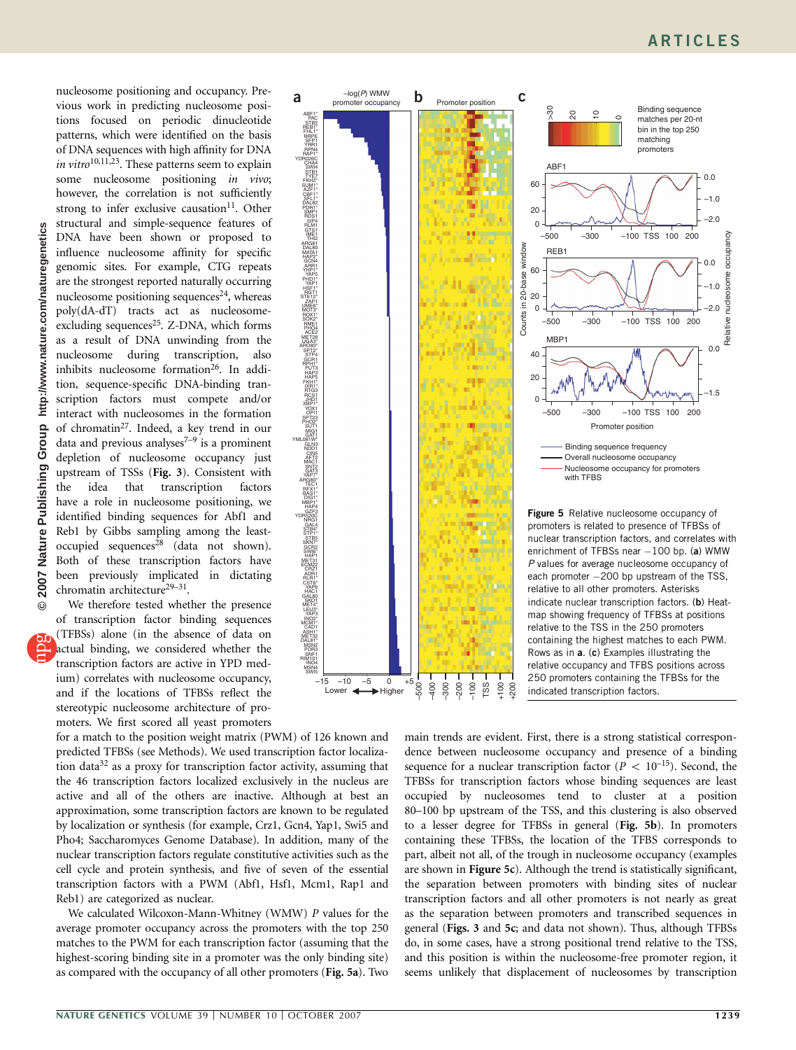vious work in predicting nucleosome positions focused on periodic dinucleotide patterns, which were identified on the basis of DNA sequences with high affinity for DNA in vitro $10,11,23$ . These patterns seem to explain some nucleosome positioning in vivo; however, the correlation is not sufficiently strong to infer exclusive causation<sup>11</sup>. Other structural and simple-sequence features of DNA have been shown or proposed to influence nucleosome affinity for specific genomic sites. For example, CTG repeats are the strongest reported naturally occurring nucleosome positioning sequences<sup>[24](#page-8-0)</sup>, whereas poly(dA-dT) tracts act as nucleosomeexcluding sequences<sup>25</sup>. Z-DNA, which forms as a result of DNA unwinding from the nucleosome during transcription, also inhibits nucleosome formation<sup>26</sup>. In addition, sequence-specific DNA-binding transcription factors must compete and/or interact with nucleosomes in the formation of chromatin[27](#page-8-0). Indeed, a key trend in our data and previous analyses $7-9$  is a prominent depletion of nucleosome occupancy just upstream of TSSs ([Fig. 3](#page-2-0)). Consistent with the idea that transcription factors have a role in nucleosome positioning, we identified binding sequences for Abf1 and Reb1 by Gibbs sampling among the least $occupied$  sequences<sup>[28](#page-8-0)</sup> (data not shown). Both of these transcription factors have been previously implicated in dictating chromatin architecture<sup>29-31</sup>. We therefore tested whether the presence

<span id="page-4-0"></span>nucleosome positioning and occupancy. Pre-

of transcription factor binding sequences (TFBSs) alone (in the absence of data on actual binding, we considered whether the transcription factors are active in YPD medium) correlates with nucleosome occupancy, and if the locations of TFBSs reflect the stereotypic nucleosome architecture of promoters. We first scored all yeast promoters



for a match to the position weight matrix (PWM) of 126 known and predicted TFBSs (see Methods). We used transcription factor localization data $32$  as a proxy for transcription factor activity, assuming that the 46 transcription factors localized exclusively in the nucleus are active and all of the others are inactive. Although at best an approximation, some transcription factors are known to be regulated by localization or synthesis (for example, Crz1, Gcn4, Yap1, Swi5 and Pho4; Saccharomyces Genome Database). In addition, many of the nuclear transcription factors regulate constitutive activities such as the cell cycle and protein synthesis, and five of seven of the essential transcription factors with a PWM (Abf1, Hsf1, Mcm1, Rap1 and Reb1) are categorized as nuclear.

We calculated Wilcoxon-Mann-Whitney (WMW) P values for the average promoter occupancy across the promoters with the top 250 matches to the PWM for each transcription factor (assuming that the highest-scoring binding site in a promoter was the only binding site) as compared with the occupancy of all other promoters (Fig. 5a). Two

main trends are evident. First, there is a strong statistical correspondence between nucleosome occupancy and presence of a binding sequence for a nuclear transcription factor ( $P < 10^{-15}$ ). Second, the TFBSs for transcription factors whose binding sequences are least occupied by nucleosomes tend to cluster at a position 80–100 bp upstream of the TSS, and this clustering is also observed to a lesser degree for TFBSs in general (Fig. 5b). In promoters containing these TFBSs, the location of the TFBS corresponds to part, albeit not all, of the trough in nucleosome occupancy (examples are shown in Figure 5c). Although the trend is statistically significant, the separation between promoters with binding sites of nuclear transcription factors and all other promoters is not nearly as great as the separation between promoters and transcribed sequences in general ([Figs. 3](#page-2-0) and 5c; and data not shown). Thus, although TFBSs do, in some cases, have a strong positional trend relative to the TSS, and this position is within the nucleosome-free promoter region, it seems unlikely that displacement of nucleosomes by transcription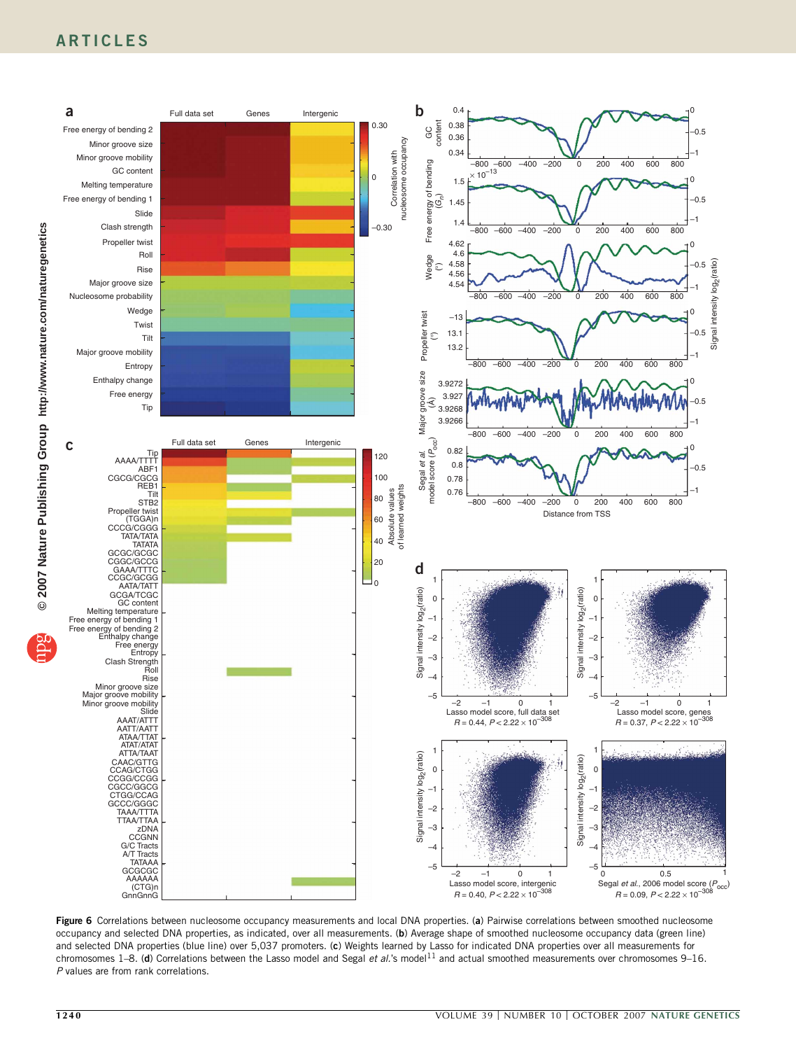<span id="page-5-0"></span>

Figure 6 Correlations between nucleosome occupancy measurements and local DNA properties. (a) Pairwise correlations between smoothed nucleosome occupancy and selected DNA properties, as indicated, over all measurements. (b) Average shape of smoothed nucleosome occupancy data (green line) and selected DNA properties (blue line) over 5,037 promoters. (c) Weights learned by Lasso for indicated DNA properties over all measurements for chromosomes  $1-8$ . (d) Correlations between the Lasso model and Segal et al.'s model<sup>[11](#page-8-0)</sup> and actual smoothed measurements over chromosomes  $9-16$ . P values are from rank correlations.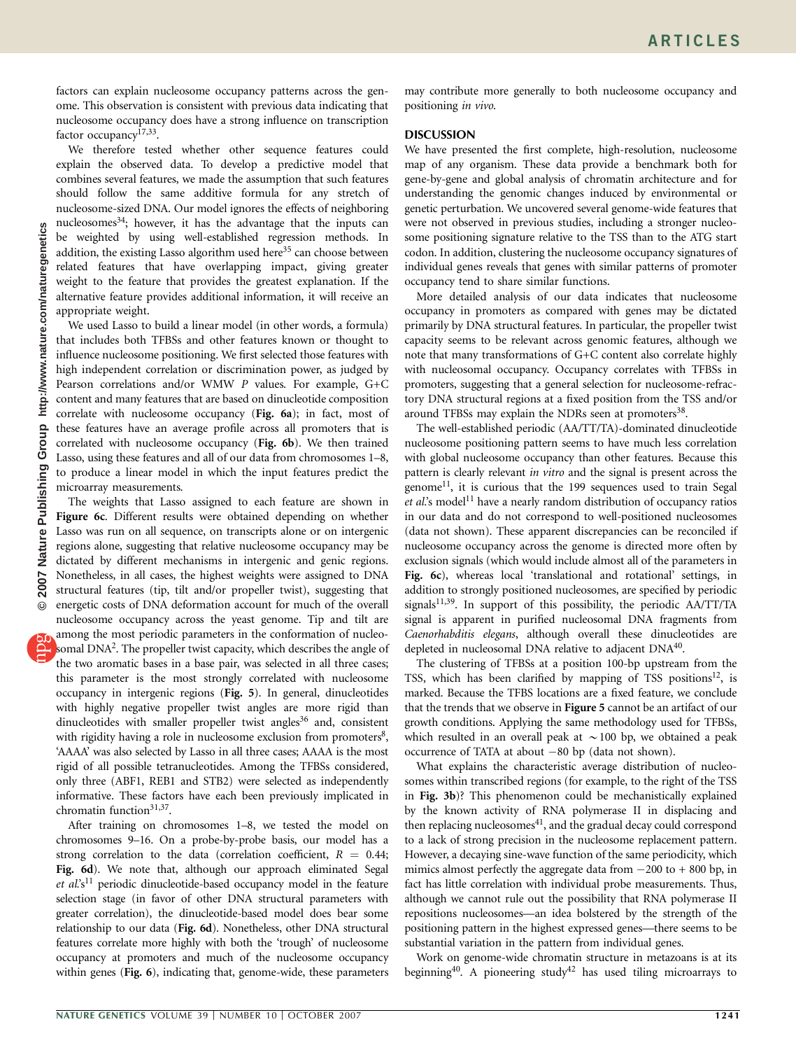factors can explain nucleosome occupancy patterns across the genome. This observation is consistent with previous data indicating that nucleosome occupancy does have a strong influence on transcription factor occupancy<sup>17,33</sup>.

We therefore tested whether other sequence features could explain the observed data. To develop a predictive model that combines several features, we made the assumption that such features should follow the same additive formula for any stretch of nucleosome-sized DNA. Our model ignores the effects of neighboring nucleosomes $34$ ; however, it has the advantage that the inputs can be weighted by using well-established regression methods. In addition, the existing Lasso algorithm used here $35$  can choose between related features that have overlapping impact, giving greater weight to the feature that provides the greatest explanation. If the alternative feature provides additional information, it will receive an appropriate weight.

We used Lasso to build a linear model (in other words, a formula) that includes both TFBSs and other features known or thought to influence nucleosome positioning. We first selected those features with high independent correlation or discrimination power, as judged by Pearson correlations and/or WMW P values. For example, G+C content and many features that are based on dinucleotide composition correlate with nucleosome occupancy ([Fig. 6a](#page-5-0)); in fact, most of these features have an average profile across all promoters that is correlated with nucleosome occupancy ([Fig. 6b](#page-5-0)). We then trained Lasso, using these features and all of our data from chromosomes 1–8, to produce a linear model in which the input features predict the microarray measurements.

The weights that Lasso assigned to each feature are shown in [Figure 6c](#page-5-0). Different results were obtained depending on whether Lasso was run on all sequence, on transcripts alone or on intergenic regions alone, suggesting that relative nucleosome occupancy may be dictated by different mechanisms in intergenic and genic regions. Nonetheless, in all cases, the highest weights were assigned to DNA structural features (tip, tilt and/or propeller twist), suggesting that energetic costs of DNA deformation account for much of the overall nucleosome occupancy across the yeast genome. Tip and tilt are among the most periodic parameters in the conformation of nucleosomal  $DNA<sup>2</sup>$ . The propeller twist capacity, which describes the angle of the two aromatic bases in a base pair, was selected in all three cases; this parameter is the most strongly correlated with nucleosome occupancy in intergenic regions ([Fig. 5](#page-4-0)). In general, dinucleotides with highly negative propeller twist angles are more rigid than dinucleotides with smaller propeller twist angles<sup>[36](#page-9-0)</sup> and, consistent with rigidity having a role in nucleosome exclusion from promoters $\delta$ , 'AAAA' was also selected by Lasso in all three cases; AAAA is the most rigid of all possible tetranucleotides. Among the TFBSs considered, only three (ABF1, REB1 and STB2) were selected as independently informative. These factors have each been previously implicated in chromatin function<sup>[31,37](#page-8-0)</sup>.

After training on chromosomes 1–8, we tested the model on chromosomes 9–16. On a probe-by-probe basis, our model has a strong correlation to the data (correlation coefficient,  $R = 0.44$ ; [Fig. 6d](#page-5-0)). We note that, although our approach eliminated Segal  $et al.S<sup>11</sup>$  periodic dinucleotide-based occupancy model in the feature selection stage (in favor of other DNA structural parameters with greater correlation), the dinucleotide-based model does bear some relationship to our data ([Fig. 6d](#page-5-0)). Nonetheless, other DNA structural features correlate more highly with both the 'trough' of nucleosome occupancy at promoters and much of the nucleosome occupancy within genes ([Fig. 6](#page-5-0)), indicating that, genome-wide, these parameters

may contribute more generally to both nucleosome occupancy and positioning in vivo.

### DISCUSSION

We have presented the first complete, high-resolution, nucleosome map of any organism. These data provide a benchmark both for gene-by-gene and global analysis of chromatin architecture and for understanding the genomic changes induced by environmental or genetic perturbation. We uncovered several genome-wide features that were not observed in previous studies, including a stronger nucleosome positioning signature relative to the TSS than to the ATG start codon. In addition, clustering the nucleosome occupancy signatures of individual genes reveals that genes with similar patterns of promoter occupancy tend to share similar functions.

More detailed analysis of our data indicates that nucleosome occupancy in promoters as compared with genes may be dictated primarily by DNA structural features. In particular, the propeller twist capacity seems to be relevant across genomic features, although we note that many transformations of G+C content also correlate highly with nucleosomal occupancy. Occupancy correlates with TFBSs in promoters, suggesting that a general selection for nucleosome-refractory DNA structural regions at a fixed position from the TSS and/or around TFBSs may explain the NDRs seen at promoters<sup>38</sup>.

The well-established periodic (AA/TT/TA)-dominated dinucleotide nucleosome positioning pattern seems to have much less correlation with global nucleosome occupancy than other features. Because this pattern is clearly relevant in vitro and the signal is present across the genome[11](#page-8-0), it is curious that the 199 sequences used to train Segal  $et$  al's model<sup>11</sup> have a nearly random distribution of occupancy ratios in our data and do not correspond to well-positioned nucleosomes (data not shown). These apparent discrepancies can be reconciled if nucleosome occupancy across the genome is directed more often by exclusion signals (which would include almost all of the parameters in [Fig. 6c](#page-5-0)), whereas local 'translational and rotational' settings, in addition to strongly positioned nucleosomes, are specified by periodic signals $11,39$ . In support of this possibility, the periodic AA/TT/TA signal is apparent in purified nucleosomal DNA fragments from Caenorhabditis elegans, although overall these dinucleotides are depleted in nucleosomal DNA relative to adjacent DNA<sup>[40](#page-8-0)</sup>.

The clustering of TFBSs at a position 100-bp upstream from the TSS, which has been clarified by mapping of TSS positions<sup>12</sup>, is marked. Because the TFBS locations are a fixed feature, we conclude that the trends that we observe in [Figure 5](#page-4-0) cannot be an artifact of our growth conditions. Applying the same methodology used for TFBSs, which resulted in an overall peak at  $\sim$  100 bp, we obtained a peak occurrence of TATA at about -80 bp (data not shown).

What explains the characteristic average distribution of nucleosomes within transcribed regions (for example, to the right of the TSS in [Fig. 3b](#page-2-0))? This phenomenon could be mechanistically explained by the known activity of RNA polymerase II in displacing and then replacing nucleosomes<sup>41</sup>, and the gradual decay could correspond to a lack of strong precision in the nucleosome replacement pattern. However, a decaying sine-wave function of the same periodicity, which mimics almost perfectly the aggregate data from  $-200$  to  $+800$  bp, in fact has little correlation with individual probe measurements. Thus, although we cannot rule out the possibility that RNA polymerase II repositions nucleosomes—an idea bolstered by the strength of the positioning pattern in the highest expressed genes—there seems to be substantial variation in the pattern from individual genes.

Work on genome-wide chromatin structure in metazoans is at its beginning<sup>40</sup>. A pioneering study<sup>42</sup> has used tiling microarrays to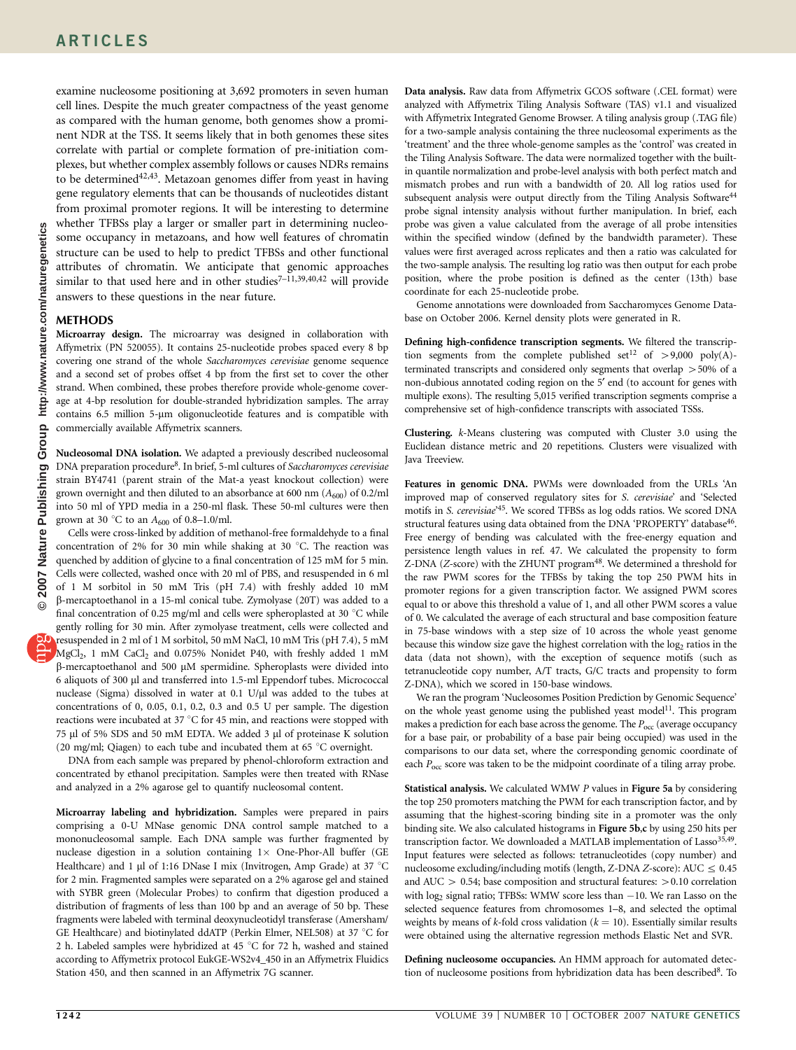examine nucleosome positioning at 3,692 promoters in seven human cell lines. Despite the much greater compactness of the yeast genome as compared with the human genome, both genomes show a prominent NDR at the TSS. It seems likely that in both genomes these sites correlate with partial or complete formation of pre-initiation complexes, but whether complex assembly follows or causes NDRs remains to be determined $42,43$ . Metazoan genomes differ from yeast in having gene regulatory elements that can be thousands of nucleotides distant from proximal promoter regions. It will be interesting to determine whether TFBSs play a larger or smaller part in determining nucleosome occupancy in metazoans, and how well features of chromatin structure can be used to help to predict TFBSs and other functional attributes of chromatin. We anticipate that genomic approaches similar to that used here and in other studies<sup>7-11,39,40,42</sup> will provide answers to these questions in the near future.

### **METHODS**

Microarray design. The microarray was designed in collaboration with Affymetrix (PN 520055). It contains 25-nucleotide probes spaced every 8 bp covering one strand of the whole Saccharomyces cerevisiae genome sequence and a second set of probes offset 4 bp from the first set to cover the other strand. When combined, these probes therefore provide whole-genome coverage at 4-bp resolution for double-stranded hybridization samples. The array contains 6.5 million 5-µm oligonucleotide features and is compatible with commercially available Affymetrix scanners.

Nucleosomal DNA isolation. We adapted a previously described nucleosomal DNA preparation procedure<sup>8</sup>. In brief, 5-ml cultures of Saccharomyces cerevisiae strain BY4741 (parent strain of the Mat-a yeast knockout collection) were grown overnight and then diluted to an absorbance at 600 nm  $(A_{600})$  of 0.2/ml into 50 ml of YPD media in a 250-ml flask. These 50-ml cultures were then grown at 30 °C to an  $A_{600}$  of 0.8–1.0/ml.

Cells were cross-linked by addition of methanol-free formaldehyde to a final concentration of 2% for 30 min while shaking at 30  $^{\circ}$ C. The reaction was quenched by addition of glycine to a final concentration of 125 mM for 5 min. Cells were collected, washed once with 20 ml of PBS, and resuspended in 6 ml of 1 M sorbitol in 50 mM Tris (pH 7.4) with freshly added 10 mM b-mercaptoethanol in a 15-ml conical tube. Zymolyase (20T) was added to a final concentration of 0.25 mg/ml and cells were spheroplasted at 30  $^{\circ}$ C while gently rolling for 30 min. After zymolyase treatment, cells were collected and resuspended in 2 ml of 1 M sorbitol, 50 mM NaCl, 10 mM Tris (pH 7.4), 5 mM MgCl2, 1 mM CaCl2 and 0.075% Nonidet P40, with freshly added 1 mM  $\beta$ -mercaptoethanol and 500  $\mu$ M spermidine. Spheroplasts were divided into 6 aliquots of 300 µl and transferred into 1.5-ml Eppendorf tubes. Micrococcal nuclease (Sigma) dissolved in water at 0.1 U/µl was added to the tubes at concentrations of 0, 0.05, 0.1, 0.2, 0.3 and 0.5 U per sample. The digestion reactions were incubated at 37  $^{\circ}$ C for 45 min, and reactions were stopped with 75 µl of 5% SDS and 50 mM EDTA. We added 3 µl of proteinase K solution (20 mg/ml; Qiagen) to each tube and incubated them at 65  $^{\circ}$ C overnight.

DNA from each sample was prepared by phenol-chloroform extraction and concentrated by ethanol precipitation. Samples were then treated with RNase and analyzed in a 2% agarose gel to quantify nucleosomal content.

Microarray labeling and hybridization. Samples were prepared in pairs comprising a 0-U MNase genomic DNA control sample matched to a mononucleosomal sample. Each DNA sample was further fragmented by nuclease digestion in a solution containing  $1\times$  One-Phor-All buffer (GE Healthcare) and 1 µl of 1:16 DNase I mix (Invitrogen, Amp Grade) at 37  $^{\circ}\mathrm{C}$ for 2 min. Fragmented samples were separated on a 2% agarose gel and stained with SYBR green (Molecular Probes) to confirm that digestion produced a distribution of fragments of less than 100 bp and an average of 50 bp. These fragments were labeled with terminal deoxynucleotidyl transferase (Amersham/ GE Healthcare) and biotinylated ddATP (Perkin Elmer, NEL508) at 37 °C for 2 h. Labeled samples were hybridized at 45  $^{\circ}$ C for 72 h, washed and stained according to Affymetrix protocol EukGE-WS2v4\_450 in an Affymetrix Fluidics Station 450, and then scanned in an Affymetrix 7G scanner.

Data analysis. Raw data from Affymetrix GCOS software (.CEL format) were analyzed with Affymetrix Tiling Analysis Software (TAS) v1.1 and visualized with Affymetrix Integrated Genome Browser. A tiling analysis group (.TAG file) for a two-sample analysis containing the three nucleosomal experiments as the 'treatment' and the three whole-genome samples as the 'control' was created in the Tiling Analysis Software. The data were normalized together with the builtin quantile normalization and probe-level analysis with both perfect match and mismatch probes and run with a bandwidth of 20. All log ratios used for subsequent analysis were output directly from the Tiling Analysis Software<sup>44</sup> probe signal intensity analysis without further manipulation. In brief, each probe was given a value calculated from the average of all probe intensities within the specified window (defined by the bandwidth parameter). These values were first averaged across replicates and then a ratio was calculated for the two-sample analysis. The resulting log ratio was then output for each probe position, where the probe position is defined as the center (13th) base coordinate for each 25-nucleotide probe.

Genome annotations were downloaded from Saccharomyces Genome Database on October 2006. Kernel density plots were generated in R.

Defining high-confidence transcription segments. We filtered the transcription segments from the complete published set<sup>12</sup> of  $> 9,000$  poly(A)terminated transcripts and considered only segments that overlap  $>$  50% of a non-dubious annotated coding region on the 5<sup>'</sup> end (to account for genes with multiple exons). The resulting 5,015 verified transcription segments comprise a comprehensive set of high-confidence transcripts with associated TSSs.

Clustering. k-Means clustering was computed with Cluster 3.0 using the Euclidean distance metric and 20 repetitions. Clusters were visualized with Java Treeview.

Features in genomic DNA. PWMs were downloaded from the URLs 'An improved map of conserved regulatory sites for S. cerevisiae' and 'Selected motifs in S. cerevisiae'<sup>[45](#page-9-0)</sup>. We scored TFBSs as log odds ratios. We scored DNA structural features using data obtained from the DNA 'PROPERTY' database<sup>46</sup>. Free energy of bending was calculated with the free-energy equation and persistence length values in ref. 47. We calculated the propensity to form Z-DNA (Z-score) with the ZHUNT program<sup>[48](#page-9-0)</sup>. We determined a threshold for the raw PWM scores for the TFBSs by taking the top 250 PWM hits in promoter regions for a given transcription factor. We assigned PWM scores equal to or above this threshold a value of 1, and all other PWM scores a value of 0. We calculated the average of each structural and base composition feature in 75-base windows with a step size of 10 across the whole yeast genome because this window size gave the highest correlation with the log<sub>2</sub> ratios in the data (data not shown), with the exception of sequence motifs (such as tetranucleotide copy number, A/T tracts, G/C tracts and propensity to form Z-DNA), which we scored in 150-base windows.

We ran the program 'Nucleosomes Position Prediction by Genomic Sequence' on the whole yeast genome using the published yeast model<sup>11</sup>. This program makes a prediction for each base across the genome. The  $P_{\text{occ}}$  (average occupancy for a base pair, or probability of a base pair being occupied) was used in the comparisons to our data set, where the corresponding genomic coordinate of each  $P_{\text{occ}}$  score was taken to be the midpoint coordinate of a tiling array probe.

Statistical analysis. We calculated WMW P values in [Figure 5a](#page-4-0) by considering the top 250 promoters matching the PWM for each transcription factor, and by assuming that the highest-scoring binding site in a promoter was the only binding site. We also calculated histograms in [Figure 5b](#page-4-0),c by using 250 hits per transcription factor. We downloaded a MATLAB implementation of Lasso<sup>35,49</sup>. Input features were selected as follows: tetranucleotides (copy number) and nucleosome excluding/including motifs (length, Z-DNA Z-score): AUC  $\leq 0.45$ and AUC  $> 0.54$ ; base composition and structural features:  $> 0.10$  correlation with  $log_2$  signal ratio; TFBSs: WMW score less than  $-10$ . We ran Lasso on the selected sequence features from chromosomes 1–8, and selected the optimal weights by means of k-fold cross validation ( $k = 10$ ). Essentially similar results were obtained using the alternative regression methods Elastic Net and SVR.

Defining nucleosome occupancies. An HMM approach for automated detection of nucleosome positions from hybridization data has been described<sup>8</sup>. To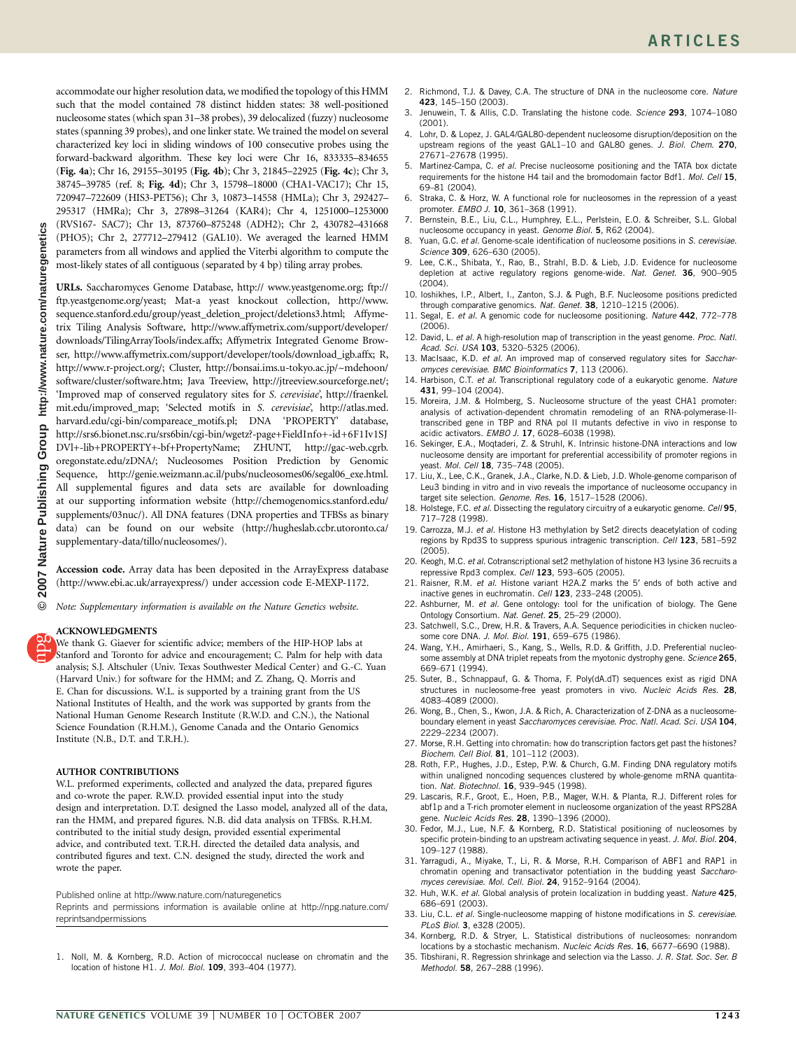<span id="page-8-0"></span>accommodate our higher resolution data, we modified the topology of this HMM such that the model contained 78 distinct hidden states: 38 well-positioned nucleosome states (which span 31–38 probes), 39 delocalized (fuzzy) nucleosome states (spanning 39 probes), and one linker state. We trained the model on several characterized key loci in sliding windows of 100 consecutive probes using the forward-backward algorithm. These key loci were Chr 16, 833335–834655 ([Fig. 4a](#page-3-0)); Chr 16, 29155–30195 ([Fig. 4b](#page-3-0)); Chr 3, 21845–22925 ([Fig. 4c](#page-3-0)); Chr 3, 38745–39785 (ref. 8; [Fig. 4d](#page-3-0)); Chr 3, 15798–18000 (CHA1-VAC17); Chr 15, 720947–722609 (HIS3-PET56); Chr 3, 10873–14558 (HMLa); Chr 3, 292427– 295317 (HMRa); Chr 3, 27898–31264 (KAR4); Chr 4, 1251000–1253000 (RVS167- SAC7); Chr 13, 873760–875248 (ADH2); Chr 2, 430782–431668 (PHO5); Chr 2, 277712–279412 (GAL10). We averaged the learned HMM parameters from all windows and applied the Viterbi algorithm to compute the most-likely states of all contiguous (separated by 4 bp) tiling array probes.

URLs. Saccharomyces Genome Database,<http:// www.yeastgenome.org>; [ftp://](ftp://ftp.yeastgenome.org/yeast) [ftp.yeastgenome.org/yeast](ftp://ftp.yeastgenome.org/yeast); Mat-a yeast knockout collection, [http://www.](http://www-sequence.stanford.edu/group/yeast_deletion_project/deletions3.html) [sequence.stanford.edu/group/yeast\\_deletion\\_project/deletions3.html;](http://www-sequence.stanford.edu/group/yeast_deletion_project/deletions3.html) Affymetrix Tiling Analysis Software, [http://www.affymetrix.com/support/developer/](http://www.affymetrix.com/support/developer/downloads/TilingArrayTools/index.affx) [downloads/TilingArrayTools/index.affx](http://www.affymetrix.com/support/developer/downloads/TilingArrayTools/index.affx); Affymetrix Integrated Genome Browser, [http://www.affymetrix.com/support/developer/tools/download\\_igb.affx](http://www.affymetrix.com/support/developer/tools/download_igb.affx); R, <http://www.r-project.org/>; Cluster, [http://bonsai.ims.u-tokyo.ac.jp/~mdehoon/](http://bonsai.ims.u-tokyo.ac.jp/~mdehoon/software/cluster/software.htm) [software/cluster/software.htm](http://bonsai.ims.u-tokyo.ac.jp/~mdehoon/software/cluster/software.htm); Java Treeview,<http://jtreeview.sourceforge.net/>; 'Improved map of conserved regulatory sites for S. cerevisiae', [http://fraenkel.](http://fraenkel.mit.edu/improved_map) [mit.edu/improved\\_map;](http://fraenkel.mit.edu/improved_map) 'Selected motifs in S. cerevisiae', [http://atlas.med.](http://atlas.med.harvard.edu/cgi-bin/compareace_motifs.pl) [harvard.edu/cgi-bin/compareace\\_motifs.pl](http://atlas.med.harvard.edu/cgi-bin/compareace_motifs.pl); DNA 'PROPERTY' database, [http://srs6.bionet.nsc.ru/srs6bin/cgi-bin/wgetz?-page+FieldInfo+-id+6F1Iv1SJ](http://srs6.bionet.nsc.ru/srs6bin/cgi-bin/wgetz?-page+FieldInfo+-id+6F1Iv1SJDVl+-lib+PROPERTY+-bf+PropertyName) [DVl+-lib+PROPERTY+-bf+PropertyName](http://srs6.bionet.nsc.ru/srs6bin/cgi-bin/wgetz?-page+FieldInfo+-id+6F1Iv1SJDVl+-lib+PROPERTY+-bf+PropertyName); ZHUNT, [http://gac-web.cgrb.](http://gac-web.cgrb.oregonstate.edu/zDNA/) [oregonstate.edu/zDNA/;](http://gac-web.cgrb.oregonstate.edu/zDNA/) Nucleosomes Position Prediction by Genomic Sequence, [http://genie.weizmann.ac.il/pubs/nucleosomes06/segal06\\_exe.html.](http://genie.weizmann.ac.il/pubs/nucleosomes06/segal06_prediction.html) All supplemental figures and data sets are available for downloading at our supporting information website ([http://chemogenomics.stanford.edu/](http://chemogenomics.stanford.edu/supplements/03nuc/) [supplements/03nuc/](http://chemogenomics.stanford.edu/supplements/03nuc/)). All DNA features (DNA properties and TFBSs as binary data) can be found on our website [\(http://hugheslab.ccbr.utoronto.ca/](http://hugheslab.ccbr.utoronto.ca/supplementary-data/tillo/nucleosomes/) [supplementary-data/tillo/nucleosomes/](http://hugheslab.ccbr.utoronto.ca/supplementary-data/tillo/nucleosomes/)).

Accession code. Array data has been deposited in the ArrayExpress database ([http://www.ebi.ac.uk/arrayexpress/\)](http://www.ebi.ac.uk/arrayexpress/) under accession code E-MEXP-1172.

Note: Supplementary information is available on the [Nature Genetics](http://www.nature.com/naturegenetics) website.

#### ACKNOWLEDGMENTS

We thank G. Giaever for scientific advice; members of the HIP-HOP labs at Stanford and Toronto for advice and encouragement; C. Palm for help with data analysis; S.J. Altschuler (Univ. Texas Southwester Medical Center) and G.-C. Yuan (Harvard Univ.) for software for the HMM; and Z. Zhang, Q. Morris and E. Chan for discussions. W.L. is supported by a training grant from the US National Institutes of Health, and the work was supported by grants from the National Human Genome Research Institute (R.W.D. and C.N.), the National Science Foundation (R.H.M.), Genome Canada and the Ontario Genomics Institute (N.B., D.T. and T.R.H.).

#### AUTHOR CONTRIBUTIONS

W.L. preformed experiments, collected and analyzed the data, prepared figures and co-wrote the paper. R.W.D. provided essential input into the study design and interpretation. D.T. designed the Lasso model, analyzed all of the data, ran the HMM, and prepared figures. N.B. did data analysis on TFBSs. R.H.M. contributed to the initial study design, provided essential experimental advice, and contributed text. T.R.H. directed the detailed data analysis, and contributed figures and text. C.N. designed the study, directed the work and wrote the paper.

Published online at<http://www.nature.com/naturegenetics>

Reprints and permissions information is available online at [http://npg.nature.com/](http://npg.nature.com/reprintsandpermissions) [reprintsandpermissions](http://npg.nature.com/reprintsandpermissions)

1. Noll, M. & Kornberg, R.D. Action of micrococcal nuclease on chromatin and the location of histone H1. J. Mol. Biol. 109, 393–404 (1977).

- 2. Richmond, T.J. & Davey, C.A. The structure of DNA in the nucleosome core. Nature 423, 145–150 (2003).
- 3. Jenuwein, T. & Allis, C.D. Translating the histone code. Science 293, 1074–1080 (2001).
- 4. Lohr, D. & Lopez, J. GAL4/GAL80-dependent nucleosome disruption/deposition on the upstream regions of the yeast GAL1-10 and GAL80 genes. J. Biol. Chem. 270, 27671–27678 (1995).
- Martinez-Campa, C. et al. Precise nucleosome positioning and the TATA box dictate requirements for the histone H4 tail and the bromodomain factor Bdf1. Mol. Cell 15, 69–81 (2004).
- 6. Straka, C. & Horz, W. A functional role for nucleosomes in the repression of a yeast promoter. EMBO J. 10, 361-368 (1991).
- Bernstein, B.E., Liu, C.L., Humphrey, E.L., Perlstein, E.O. & Schreiber, S.L. Global nucleosome occupancy in yeast. Genome Biol. 5, R62 (2004).
- Yuan, G.C. et al. Genome-scale identification of nucleosome positions in S. cerevisiae. Science 309, 626-630 (2005).
- 9. Lee, C.K., Shibata, Y., Rao, B., Strahl, B.D. & Lieb, J.D. Evidence for nucleosome depletion at active regulatory regions genome-wide. Nat. Genet. 36, 900-905 (2004).
- 10. Ioshikhes, I.P., Albert, I., Zanton, S.J. & Pugh, B.F. Nucleosome positions predicted through comparative genomics. Nat. Genet. 38, 1210-1215 (2006).
- 11. Segal, E. et al. A genomic code for nucleosome positioning. Nature 442, 772–778  $(2006)$
- 12. David, L. et al. A high-resolution map of transcription in the yeast genome. Proc. Natl. Acad. Sci. USA 103, 5320-5325 (2006).
- 13. MacIsaac, K.D. et al. An improved map of conserved regulatory sites for Saccharomyces cerevisiae. BMC Bioinformatics 7, 113 (2006).
- 14. Harbison, C.T. et al. Transcriptional regulatory code of a eukaryotic genome. Nature 431, 99–104 (2004).
- 15. Moreira, J.M. & Holmberg, S. Nucleosome structure of the yeast CHA1 promoter: analysis of activation-dependent chromatin remodeling of an RNA-polymerase-IItranscribed gene in TBP and RNA pol II mutants defective in vivo in response to acidic activators. EMBO J. 17, 6028–6038 (1998).
- 16. Sekinger, E.A., Moqtaderi, Z. & Struhl, K. Intrinsic histone-DNA interactions and low nucleosome density are important for preferential accessibility of promoter regions in yeast. Mol. Cell 18, 735-748 (2005).
- 17. Liu, X., Lee, C.K., Granek, J.A., Clarke, N.D. & Lieb, J.D. Whole-genome comparison of Leu3 binding in vitro and in vivo reveals the importance of nucleosome occupancy in target site selection. Genome. Res. 16, 1517–1528 (2006).
- 18. Holstege, F.C. et al. Dissecting the regulatory circuitry of a eukaryotic genome. Cell 95, 717–728 (1998).
- 19. Carrozza, M.J. et al. Histone H3 methylation by Set2 directs deacetylation of coding regions by Rpd3S to suppress spurious intragenic transcription. Cell 123, 581-592 (2005).
- 20. Keogh, M.C. et al. Cotranscriptional set2 methylation of histone H3 lysine 36 recruits a repressive Rpd3 complex. Cell 123, 593-605 (2005).
- 21. Raisner, R.M. et al. Histone variant H2A.Z marks the 5' ends of both active and inactive genes in euchromatin. Cell 123, 233-248 (2005).
- 22. Ashburner, M. et al. Gene ontology: tool for the unification of biology. The Gene Ontology Consortium. Nat. Genet. 25, 25-29 (2000).
- 23. Satchwell, S.C., Drew, H.R. & Travers, A.A. Sequence periodicities in chicken nucleosome core DNA. J. Mol. Biol. 191, 659-675 (1986).
- 24. Wang, Y.H., Amirhaeri, S., Kang, S., Wells, R.D. & Griffith, J.D. Preferential nucleosome assembly at DNA triplet repeats from the myotonic dystrophy gene. Science 265, 669–671 (1994).
- 25. Suter, B., Schnappauf, G. & Thoma, F. Poly(dA.dT) sequences exist as rigid DNA structures in nucleosome-free yeast promoters in vivo. Nucleic Acids Res. 28, 4083–4089 (2000).
- 26. Wong, B., Chen, S., Kwon, J.A. & Rich, A. Characterization of Z-DNA as a nucleosomeboundary element in yeast Saccharomyces cerevisiae. Proc. Natl. Acad. Sci. USA 104, 2229–2234 (2007).
- 27. Morse, R.H. Getting into chromatin: how do transcription factors get past the histones? Biochem. Cell Biol. 81, 101–112 (2003).
- 28. Roth, F.P., Hughes, J.D., Estep, P.W. & Church, G.M. Finding DNA regulatory motifs within unaligned noncoding sequences clustered by whole-genome mRNA quantitation. Nat. Biotechnol. 16, 939–945 (1998).
- 29. Lascaris, R.F., Groot, E., Hoen, P.B., Mager, W.H. & Planta, R.J. Different roles for abf1p and a T-rich promoter element in nucleosome organization of the yeast RPS28A gene. Nucleic Acids Res. 28, 1390–1396 (2000).
- 30. Fedor, M.J., Lue, N.F. & Kornberg, R.D. Statistical positioning of nucleosomes by specific protein-binding to an upstream activating sequence in yeast. J. Mol. Biol. 204, 109–127 (1988).
- 31. Yarragudi, A., Miyake, T., Li, R. & Morse, R.H. Comparison of ABF1 and RAP1 in chromatin opening and transactivator potentiation in the budding yeast Saccharomyces cerevisiae. Mol. Cell. Biol. 24, 9152–9164 (2004).
- 32. Huh, W.K. et al. Global analysis of protein localization in budding yeast. Nature 425, 686–691 (2003).
- 33. Liu, C.L. et al. Single-nucleosome mapping of histone modifications in S. cerevisiae. PLoS Biol. 3, e328 (2005).
- 34. Kornberg, R.D. & Stryer, L. Statistical distributions of nucleosomes: nonrandom locations by a stochastic mechanism. Nucleic Acids Res. 16, 6677-6690 (1988).
- 35. Tibshirani, R. Regression shrinkage and selection via the Lasso. J. R. Stat. Soc. Ser. B Methodol. 58, 267–288 (1996).